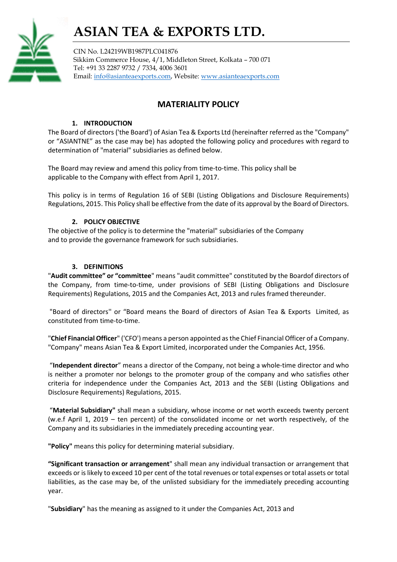## ASIAN TEA & EXPORTS LTD.



CIN No. L24219WB1987PLC041876 Sikkim Commerce House, 4/1, Middleton Street, Kolkata – 700 071 Tel: +91 33 2287 9732 / 7334, 4006 3601 Email: info@asianteaexports.com, Website: www.asianteaexports.com

### MATERIALITY POLICY

#### 1. INTRODUCTION

The Board of directors ('the Board') of Asian Tea & Exports Ltd (hereinafter referred as the "Company" or "ASIANTNE" as the case may be) has adopted the following policy and procedures with regard to determination of "material" subsidiaries as defined below.

The Board may review and amend this policy from time-to-time. This policy shall be applicable to the Company with effect from April 1, 2017.

This policy is in terms of Regulation 16 of SEBI (Listing Obligations and Disclosure Requirements) Regulations, 2015. This Policy shall be effective from the date of its approval by the Board of Directors.

#### 2. POLICY OBJECTIVE

The objective of the policy is to determine the "material" subsidiaries of the Company and to provide the governance framework for such subsidiaries.

#### 3. DEFINITIONS

"Audit committee" or "committee" means "audit committee" constituted by the Boardof directors of the Company, from time-to-time, under provisions of SEBI (Listing Obligations and Disclosure Requirements) Regulations, 2015 and the Companies Act, 2013 and rules framed thereunder.

 "Board of directors'' or "Board means the Board of directors of Asian Tea & Exports Limited, as constituted from time-to-time.

"Chief Financial Officer" ('CFO') means a person appointed as the Chief Financial Officer of a Company. "Company" means Asian Tea & Export Limited, incorporated under the Companies Act, 1956.

 "Independent director" means a director of the Company, not being a whole-time director and who is neither a promoter nor belongs to the promoter group of the company and who satisfies other criteria for independence under the Companies Act, 2013 and the SEBI (Listing Obligations and Disclosure Requirements) Regulations, 2015.

"Material Subsidiary" shall mean a subsidiary, whose income or net worth exceeds twenty percent (w.e.f April 1, 2019 – ten percent) of the consolidated income or net worth respectively, of the Company and its subsidiaries in the immediately preceding accounting year.

"Policy" means this policy for determining material subsidiary.

"Significant transaction or arrangement" shall mean any individual transaction or arrangement that exceeds or is likely to exceed 10 per cent of the total revenues or total expenses or total assets or total liabilities, as the case may be, of the unlisted subsidiary for the immediately preceding accounting year.

"Subsidiary" has the meaning as assigned to it under the Companies Act, 2013 and